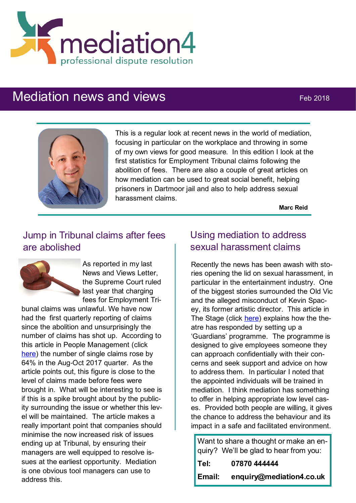

# Mediation news and views Feb 2018



This is a regular look at recent news in the world of mediation, focusing in particular on the workplace and throwing in some of my own views for good measure. In this edition I look at the first statistics for Employment Tribunal claims following the abolition of fees. There are also a couple of great articles on how mediation can be used to great social benefit, helping prisoners in Dartmoor jail and also to help address sexual harassment claims.

**Marc Reid**

# Jump in Tribunal claims after fees are abolished



As reported in my last News and Views Letter, the Supreme Court ruled last year that charging fees for Employment Tri-

bunal claims was unlawful. We have now had the first quarterly reporting of claims since the abolition and unsurprisingly the number of claims has shot up. According to this article in People Management (click [here\)](https://www.peoplemanagement.co.uk/news/articles/tribunal-claims-up-66-per-cent-after-fee-abolition) the number of single claims rose by 64% in the Aug-Oct 2017 quarter. As the article points out, this figure is close to the level of claims made before fees were brought in. What will be interesting to see is if this is a spike brought about by the publicity surrounding the issue or whether this level will be maintained. The article makes a really important point that companies should minimise the now increased risk of issues ending up at Tribunal, by ensuring their managers are well equipped to resolve issues at the earliest opportunity. Mediation is one obvious tool managers can use to address this.

# Using mediation to address sexual harassment claims

Recently the news has been awash with stories opening the lid on sexual harassment, in particular in the entertainment industry. One of the biggest stories surrounded the Old Vic and the alleged misconduct of Kevin Spacey, its former artistic director. This article in The Stage (click [here\)](https://www.thestage.co.uk/news/2018/old-vic-launches-guardians-scheme-protect-staff-wake-harassment-allegations/) explains how the theatre has responded by setting up a 'Guardians' programme. The programme is designed to give employees someone they can approach confidentially with their concerns and seek support and advice on how to address them. In particular I noted that the appointed individuals will be trained in mediation. I think mediation has something to offer in helping appropriate low level cases. Provided both people are willing, it gives the chance to address the behaviour and its impact in a safe and facilitated environment.

Want to share a thought or make an enquiry? We'll be glad to hear from you: **Tel: 07870 444444 Email: enquiry@mediation4.co.uk**